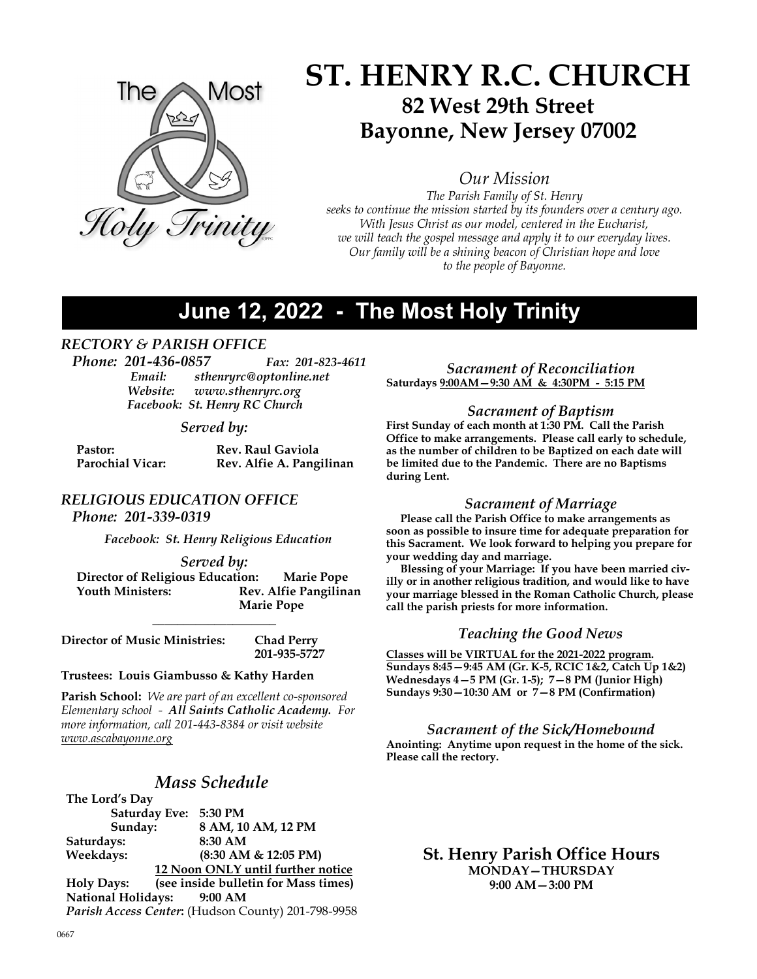

# ST. HENRY R.C. CHURCH 82 West 29th Street Bayonne, New Jersey 07002

Our Mission

The Parish Family of St. Henry seeks to continue the mission started by its founders over a century ago. With Jesus Christ as our model, centered in the Eucharist, we will teach the gospel message and apply it to our everyday lives. Our family will be a shining beacon of Christian hope and love to the people of Bayonne.

# June 12, 2022 - The Most Holy Trinity

## RECTORY & PARISH OFFICE

Phone: 201-436-0857 Fax: 201-823-4611 Email: sthenryrc@optonline.net<br>Website: www.sthenryrc.org www.sthenryrc.org Facebook: St. Henry RC Church

#### Served by:

| Pastor:                 | <b>Rev. Raul Gaviola</b> |
|-------------------------|--------------------------|
| <b>Parochial Vicar:</b> | Rev. Alfie A. Pangilinan |

## RELIGIOUS EDUCATION OFFICE

Phone: 201-339-0319

Facebook: St. Henry Religious Education

#### Served by:

 Director of Religious Education: Marie Pope Rev. Alfie Pangilinan Marie Pope

 $\overline{\phantom{a}}$  , where  $\overline{\phantom{a}}$  , where  $\overline{\phantom{a}}$ 

Director of Music Ministries: Chad Perry 201-935-5727

#### Trustees: Louis Giambusso & Kathy Harden

Parish School: We are part of an excellent co-sponsored Elementary school - All Saints Catholic Academy. For more information, call 201-443-8384 or visit website www.ascabayonne.org

## Mass Schedule

The Lord's Day Saturday Eve: 5:30 PM Sunday: 8 AM, 10 AM, 12 PM Saturdays: 8:30 AM Weekdays: (8:30 AM & 12:05 PM) 12 Noon ONLY until further notice Holy Days: (see inside bulletin for Mass times) National Holidays: 9:00 AM Parish Access Center: (Hudson County) 201-798-9958

Sacrament of Reconciliation Saturdays 9:00AM—9:30 AM & 4:30PM - 5:15 PM

#### Sacrament of Baptism

First Sunday of each month at 1:30 PM. Call the Parish Office to make arrangements. Please call early to schedule, as the number of children to be Baptized on each date will be limited due to the Pandemic. There are no Baptisms during Lent.

#### Sacrament of Marriage

 Please call the Parish Office to make arrangements as soon as possible to insure time for adequate preparation for this Sacrament. We look forward to helping you prepare for your wedding day and marriage.

 Blessing of your Marriage: If you have been married civilly or in another religious tradition, and would like to have your marriage blessed in the Roman Catholic Church, please call the parish priests for more information.

#### Teaching the Good News

Classes will be VIRTUAL for the 2021-2022 program. Sundays 8:45—9:45 AM (Gr. K-5, RCIC 1&2, Catch Up 1&2) Wednesdays 4—5 PM (Gr. 1-5); 7—8 PM (Junior High) Sundays 9:30—10:30 AM or 7—8 PM (Confirmation)

Sacrament of the Sick/Homebound Anointing: Anytime upon request in the home of the sick. Please call the rectory.

> St. Henry Parish Office Hours MONDAY—THURSDAY 9:00 AM—3:00 PM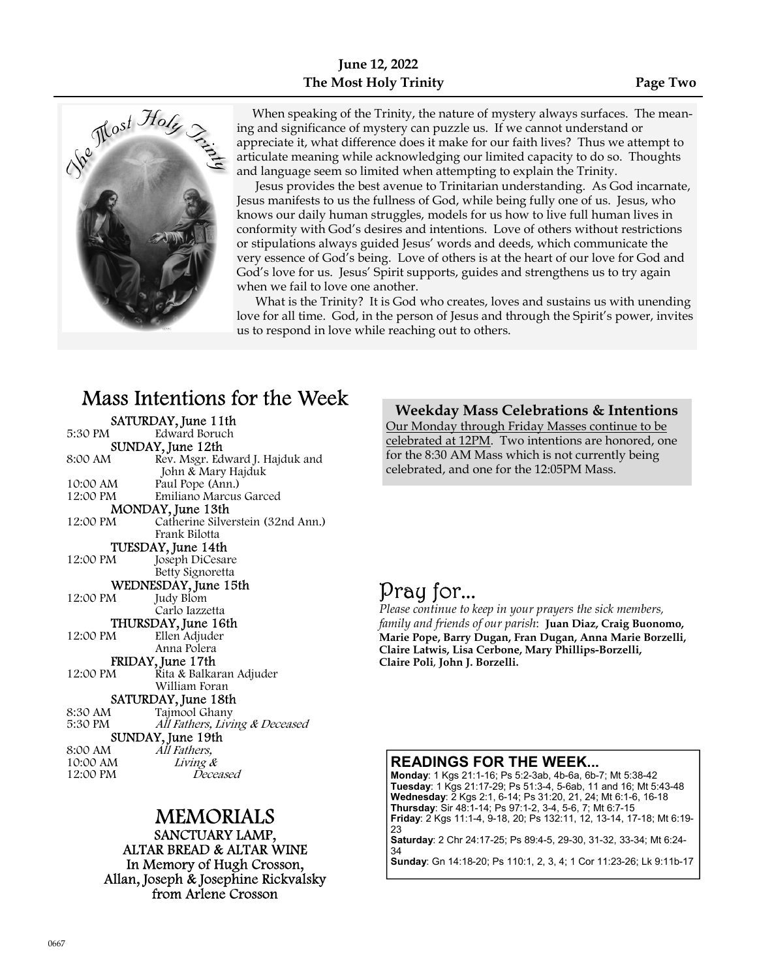



 When speaking of the Trinity, the nature of mystery always surfaces. The meaning and significance of mystery can puzzle us. If we cannot understand or appreciate it, what difference does it make for our faith lives? Thus we attempt to articulate meaning while acknowledging our limited capacity to do so. Thoughts and language seem so limited when attempting to explain the Trinity.

 Jesus provides the best avenue to Trinitarian understanding. As God incarnate, Jesus manifests to us the fullness of God, while being fully one of us. Jesus, who knows our daily human struggles, models for us how to live full human lives in conformity with God's desires and intentions. Love of others without restrictions or stipulations always guided Jesus' words and deeds, which communicate the very essence of God's being. Love of others is at the heart of our love for God and God's love for us. Jesus' Spirit supports, guides and strengthens us to try again when we fail to love one another.

 What is the Trinity? It is God who creates, loves and sustains us with unending love for all time. God, in the person of Jesus and through the Spirit's power, invites us to respond in love while reaching out to others.

# Mass Intentions for the Week

|                      | SATURDAY, June 11th               |  |
|----------------------|-----------------------------------|--|
| 5:30 PM              | Edward Boruch                     |  |
| SUNDAY, June 12th    |                                   |  |
| 8:00 AM              | Rev. Msgr. Edward J. Hajduk and   |  |
|                      | John & Mary Hajduk                |  |
| 10:00 AM             | Paul Pope (Ann.)                  |  |
| 12:00 PM             | Emiliano Marcus Garced            |  |
| MONDAY, June 13th    |                                   |  |
| 12:00 PM             | Catherine Silverstein (32nd Ann.) |  |
|                      | Frank Bilotta                     |  |
|                      | TUESDAY, June 14th                |  |
| 12:00 PM             | Joseph DiCesare                   |  |
|                      | Betty Signoretta                  |  |
| WEDNESDAY, June 15th |                                   |  |
| 12:00 PM             | Judy Blom                         |  |
|                      | Carlo Iazzetta                    |  |
| THURSDAY, June 16th  |                                   |  |
| 12:00 PM             | Ellen Adjuder                     |  |
|                      | Anna Polera                       |  |
| FRIDAY, June 17th    |                                   |  |
| 12:00 PM             | Rita & Balkaran Adjuder           |  |
|                      | William Foran                     |  |
| SATURDAY, June 18th  |                                   |  |
| 8:30 AM              | Tajmool Ghany                     |  |
| 5:30 PM              | All Fathers, Living & Deceased    |  |
|                      | SUNDAY, June 19th                 |  |
| 8:00 AM              | All Fathers,                      |  |
| 10:00 AM             | Living &                          |  |
| 12:00 PM             | Deceased                          |  |
|                      |                                   |  |

# MEMORIALS

SANCTUARY LAMP, ALTAR BREAD & ALTAR WINE In Memory of Hugh Crosson, Allan, Joseph & Josephine Rickvalsky from Arlene Crosson

Weekday Mass Celebrations & Intentions Our Monday through Friday Masses continue to be celebrated at 12PM. Two intentions are honored, one for the 8:30 AM Mass which is not currently being celebrated, and one for the 12:05PM Mass.

# Pray for...

Please continue to keep in your prayers the sick members, family and friends of our parish: Juan Diaz, Craig Buonomo, Marie Pope, Barry Dugan, Fran Dugan, Anna Marie Borzelli, Claire Latwis, Lisa Cerbone, Mary Phillips-Borzelli, Claire Poli, John J. Borzelli.

### READINGS FOR THE WEEK...

Monday: 1 Kgs 21:1-16; Ps 5:2-3ab, 4b-6a, 6b-7; Mt 5:38-42 Tuesday: 1 Kgs 21:17-29; Ps 51:3-4, 5-6ab, 11 and 16; Mt 5:43-48 Wednesday: 2 Kgs 2:1, 6-14; Ps 31:20, 21, 24; Mt 6:1-6, 16-18 Thursday: Sir 48:1-14; Ps 97:1-2, 3-4, 5-6, 7; Mt 6:7-15 Friday: 2 Kgs 11:1-4, 9-18, 20; Ps 132:11, 12, 13-14, 17-18; Mt 6:19- 23

Saturday: 2 Chr 24:17-25; Ps 89:4-5, 29-30, 31-32, 33-34; Mt 6:24- 34

Sunday: Gn 14:18-20; Ps 110:1, 2, 3, 4; 1 Cor 11:23-26; Lk 9:11b-17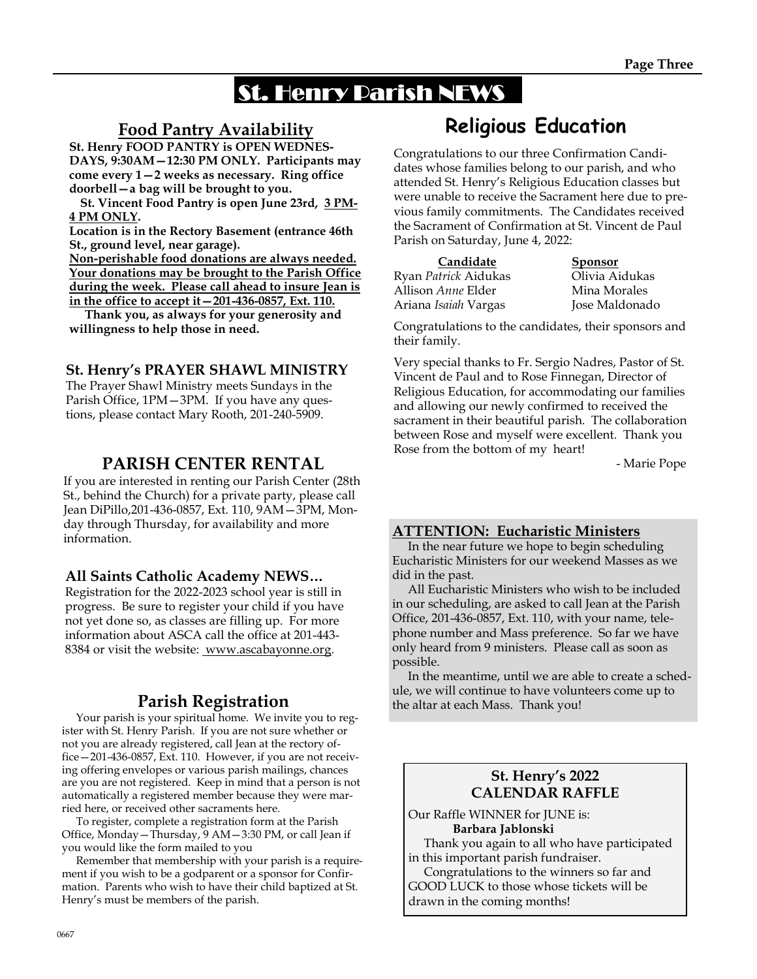# St. Henry Parish NEWS

# Food Pantry Availability

St. Henry FOOD PANTRY is OPEN WEDNES-DAYS, 9:30AM—12:30 PM ONLY. Participants may come every 1—2 weeks as necessary. Ring office doorbell—a bag will be brought to you.

 St. Vincent Food Pantry is open June 23rd, 3 PM-4 PM ONLY.

Location is in the Rectory Basement (entrance 46th St., ground level, near garage).

Non-perishable food donations are always needed. Your donations may be brought to the Parish Office during the week. Please call ahead to insure Jean is in the office to accept it—201-436-0857, Ext. 110.

 Thank you, as always for your generosity and willingness to help those in need.

## St. Henry's PRAYER SHAWL MINISTRY

The Prayer Shawl Ministry meets Sundays in the Parish Office, 1PM—3PM. If you have any questions, please contact Mary Rooth, 201-240-5909.

# PARISH CENTER RENTAL

If you are interested in renting our Parish Center (28th St., behind the Church) for a private party, please call Jean DiPillo,201-436-0857, Ext. 110, 9AM—3PM, Monday through Thursday, for availability and more information.

## All Saints Catholic Academy NEWS…

Registration for the 2022-2023 school year is still in progress. Be sure to register your child if you have not yet done so, as classes are filling up. For more information about ASCA call the office at 201-443- 8384 or visit the website: www.ascabayonne.org.

# Parish Registration

 Your parish is your spiritual home. We invite you to register with St. Henry Parish. If you are not sure whether or not you are already registered, call Jean at the rectory office—201-436-0857, Ext. 110. However, if you are not receiving offering envelopes or various parish mailings, chances are you are not registered. Keep in mind that a person is not automatically a registered member because they were married here, or received other sacraments here.

 To register, complete a registration form at the Parish Office, Monday—Thursday, 9 AM—3:30 PM, or call Jean if you would like the form mailed to you

 Remember that membership with your parish is a requirement if you wish to be a godparent or a sponsor for Confirmation. Parents who wish to have their child baptized at St. Henry's must be members of the parish.

# Religious Education

Congratulations to our three Confirmation Candidates whose families belong to our parish, and who attended St. Henry's Religious Education classes but were unable to receive the Sacrament here due to previous family commitments. The Candidates received the Sacrament of Confirmation at St. Vincent de Paul Parish on Saturday, June 4, 2022:

| Candidate                 | <b>Sponsor</b> |
|---------------------------|----------------|
| Ryan Patrick Aidukas      | Olivia Aidukas |
| Allison <i>Anne</i> Elder | Mina Morales   |
| Ariana Isaiah Vargas      | Jose Maldonado |

Congratulations to the candidates, their sponsors and their family.

Very special thanks to Fr. Sergio Nadres, Pastor of St. Vincent de Paul and to Rose Finnegan, Director of Religious Education, for accommodating our families and allowing our newly confirmed to received the sacrament in their beautiful parish. The collaboration between Rose and myself were excellent. Thank you Rose from the bottom of my heart!

- Marie Pope

## ATTENTION: Eucharistic Ministers

 In the near future we hope to begin scheduling Eucharistic Ministers for our weekend Masses as we did in the past.

 All Eucharistic Ministers who wish to be included in our scheduling, are asked to call Jean at the Parish Office, 201-436-0857, Ext. 110, with your name, telephone number and Mass preference. So far we have only heard from 9 ministers. Please call as soon as possible.

 In the meantime, until we are able to create a schedule, we will continue to have volunteers come up to the altar at each Mass. Thank you!

## St. Henry's 2022 CALENDAR RAFFLE

Our Raffle WINNER for JUNE is: Barbara Jablonski

 Thank you again to all who have participated in this important parish fundraiser.

 Congratulations to the winners so far and GOOD LUCK to those whose tickets will be drawn in the coming months!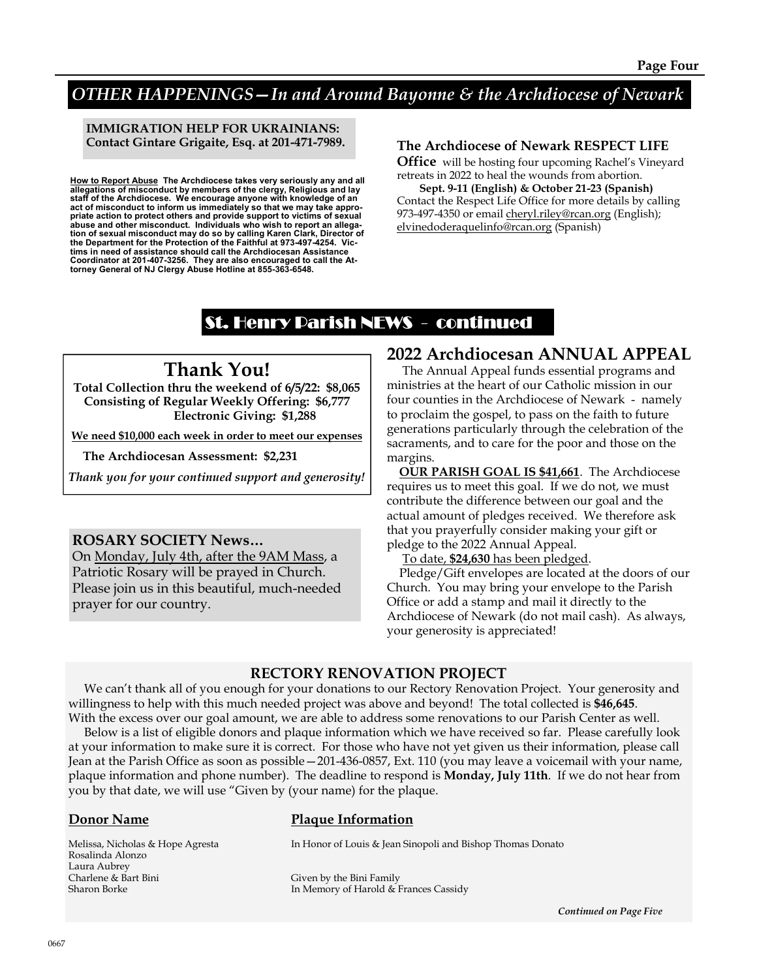# OTHER HAPPENINGS—In and Around Bayonne & the Archdiocese of Newark

#### IMMIGRATION HELP FOR UKRAINIANS: Contact Gintare Grigaite, Esq. at 201-471-7989.

<u>How to Report Abuse</u> The Archdiocese takes very seriously any and all<br>allegations of misconduct by members of the clergy, Religious and lay<br>staff of the Archdiocese. We encourage anyone with knowledge of an act of misconduct to inform us immediately so that we may take appropriate action to protect others and provide support to victims of sexual abuse and other misconduct. Individuals who wish to report an allegation of sexual misconduct may do so by calling Karen Clark, Director of the Department for the Protection of the Faithful at 973-497-4254. Victims in need of assistance should call the Archdiocesan Assistance Coordinator at 201-407-3256. They are also encouraged to call the At-torney General of NJ Clergy Abuse Hotline at 855-363-6548.

#### The Archdiocese of Newark RESPECT LIFE

Office will be hosting four upcoming Rachel's Vineyard retreats in 2022 to heal the wounds from abortion.

 Sept. 9-11 (English) & October 21-23 (Spanish) Contact the Respect Life Office for more details by calling 973-497-4350 or email cheryl.riley@rcan.org (English); elvinedoderaquelinfo@rcan.org (Spanish)

# St. Henry Parish NEWS - continued

# Thank You!

Total Collection thru the weekend of 6/5/22: \$8,065 Consisting of Regular Weekly Offering: \$6,777 Electronic Giving: \$1,288

We need \$10,000 each week in order to meet our expenses

The Archdiocesan Assessment: \$2,231

Thank you for your continued support and generosity!

#### ROSARY SOCIETY News…

On Monday, July 4th, after the 9AM Mass, a Patriotic Rosary will be prayed in Church. Please join us in this beautiful, much-needed prayer for our country.

## 2022 Archdiocesan ANNUAL APPEAL

 The Annual Appeal funds essential programs and ministries at the heart of our Catholic mission in our four counties in the Archdiocese of Newark - namely to proclaim the gospel, to pass on the faith to future generations particularly through the celebration of the sacraments, and to care for the poor and those on the margins.

 OUR PARISH GOAL IS \$41,661. The Archdiocese requires us to meet this goal. If we do not, we must contribute the difference between our goal and the actual amount of pledges received. We therefore ask that you prayerfully consider making your gift or pledge to the 2022 Annual Appeal.

To date, \$24,630 has been pledged.

 Pledge/Gift envelopes are located at the doors of our Church. You may bring your envelope to the Parish Office or add a stamp and mail it directly to the Archdiocese of Newark (do not mail cash). As always, your generosity is appreciated!

### RECTORY RENOVATION PROJECT

 We can't thank all of you enough for your donations to our Rectory Renovation Project. Your generosity and willingness to help with this much needed project was above and beyond! The total collected is \$46,645. With the excess over our goal amount, we are able to address some renovations to our Parish Center as well.

 Below is a list of eligible donors and plaque information which we have received so far. Please carefully look at your information to make sure it is correct. For those who have not yet given us their information, please call Jean at the Parish Office as soon as possible—201-436-0857, Ext. 110 (you may leave a voicemail with your name, plaque information and phone number). The deadline to respond is Monday, July 11th. If we do not hear from you by that date, we will use "Given by (your name) for the plaque.

Rosalinda Alonzo Laura Aubrey Charlene & Bart Bini Given by the Bini Family

#### Donor Name Plaque Information

Melissa, Nicholas & Hope Agresta In Honor of Louis & Jean Sinopoli and Bishop Thomas Donato

Sharon Borke **In Memory of Harold & Frances Cassidy In Memory of Harold & Frances Cassidy** 

Continued on Page Five